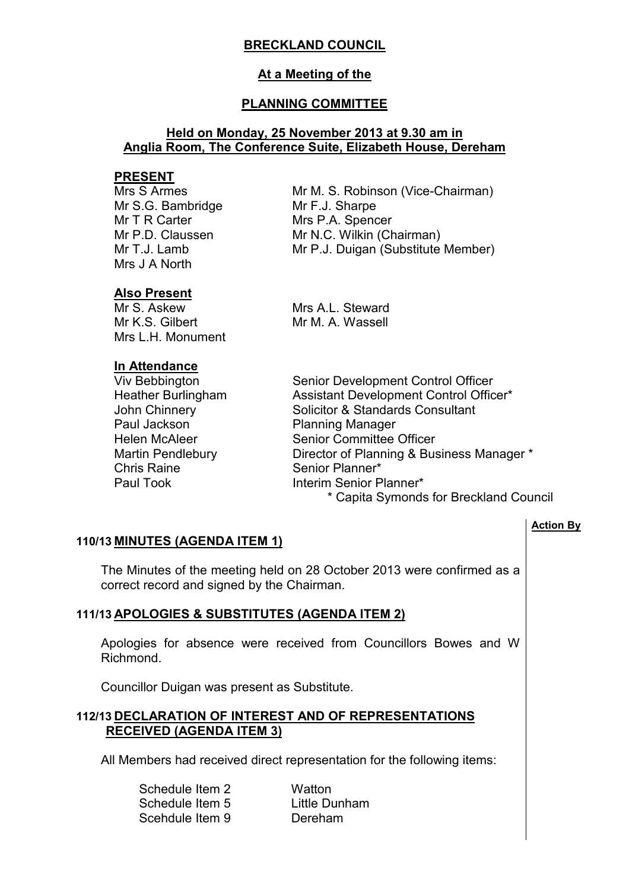# **BRECKLAND COUNCIL**

## **At a Meeting of the**

## **PLANNING COMMITTEE**

### **Held on Monday, 25 November 2013 at 9.30 am in Anglia Room, The Conference Suite, Elizabeth House, Dereham**

### **PRESENT**

Mrs S Armes Mr S.G. Bambridge Mr T R Carter Mr P.D. Claussen Mr T.J. Lamb Mrs J A North

Mr M. S. Robinson (Vice-Chairman) Mr F.J. Sharpe Mrs P.A. Spencer Mr N.C. Wilkin (Chairman) Mr P.J. Duigan (Substitute Member)

## **Also Present**

Mr S. Askew Mr K.S. Gilbert Mrs L.H. Monument Mrs A.L. Steward Mr M. A. Wassell

# **In Attendance**

Paul Jackson Planning Manager Chris Raine<br>
Paul Took Senior Planner\*<br>
Interim Senior P

Viv Bebbington Senior Development Control Officer Heather Burlingham Assistant Development Control Officer\* John Chinnery Solicitor & Standards Consultant Helen McAleer Senior Committee Officer Martin Pendlebury Director of Planning & Business Manager \* Interim Senior Planner\* \* Capita Symonds for Breckland Council

### **Action By**

## **110/13 MINUTES (AGENDA ITEM 1)**

 The Minutes of the meeting held on 28 October 2013 were confirmed as a correct record and signed by the Chairman.

## **111/13 APOLOGIES & SUBSTITUTES (AGENDA ITEM 2)**

 Apologies for absence were received from Councillors Bowes and W Richmond.

Councillor Duigan was present as Substitute.

## **112/13 DECLARATION OF INTEREST AND OF REPRESENTATIONS RECEIVED (AGENDA ITEM 3)**

All Members had received direct representation for the following items:

| Schedule Item 2 | Watton        |
|-----------------|---------------|
| Schedule Item 5 | Little Dunham |
| Scehdule Item 9 | Dereham       |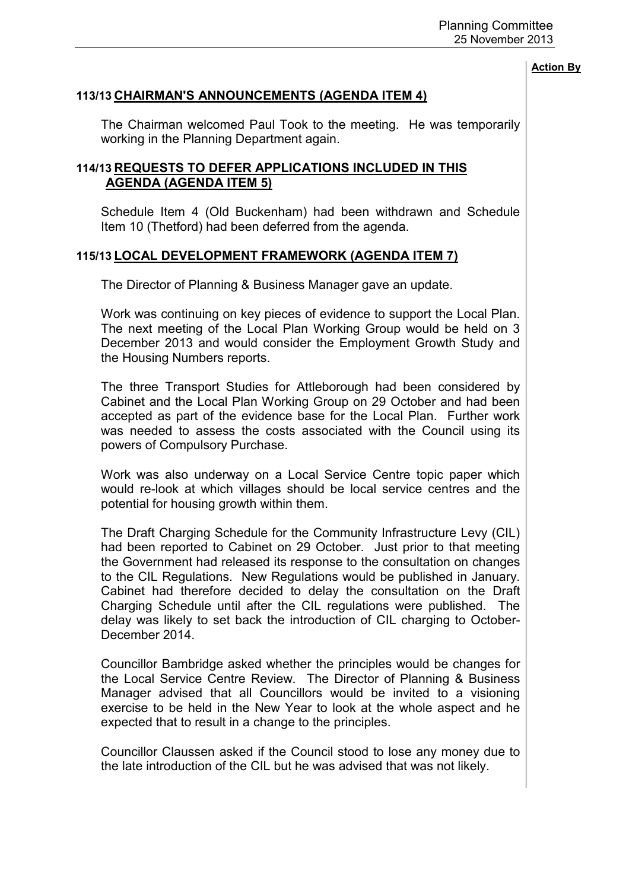### **113/13 CHAIRMAN'S ANNOUNCEMENTS (AGENDA ITEM 4)**

 The Chairman welcomed Paul Took to the meeting. He was temporarily working in the Planning Department again.

## **114/13 REQUESTS TO DEFER APPLICATIONS INCLUDED IN THIS AGENDA (AGENDA ITEM 5)**

 Schedule Item 4 (Old Buckenham) had been withdrawn and Schedule Item 10 (Thetford) had been deferred from the agenda.

### **115/13 LOCAL DEVELOPMENT FRAMEWORK (AGENDA ITEM 7)**

The Director of Planning & Business Manager gave an update.

Work was continuing on key pieces of evidence to support the Local Plan. The next meeting of the Local Plan Working Group would be held on 3 December 2013 and would consider the Employment Growth Study and the Housing Numbers reports.

The three Transport Studies for Attleborough had been considered by Cabinet and the Local Plan Working Group on 29 October and had been accepted as part of the evidence base for the Local Plan. Further work was needed to assess the costs associated with the Council using its powers of Compulsory Purchase.

Work was also underway on a Local Service Centre topic paper which would re-look at which villages should be local service centres and the potential for housing growth within them.

The Draft Charging Schedule for the Community Infrastructure Levy (CIL) had been reported to Cabinet on 29 October. Just prior to that meeting the Government had released its response to the consultation on changes to the CIL Regulations. New Regulations would be published in January. Cabinet had therefore decided to delay the consultation on the Draft Charging Schedule until after the CIL regulations were published. The delay was likely to set back the introduction of CIL charging to October-December 2014.

Councillor Bambridge asked whether the principles would be changes for the Local Service Centre Review. The Director of Planning & Business Manager advised that all Councillors would be invited to a visioning exercise to be held in the New Year to look at the whole aspect and he expected that to result in a change to the principles.

Councillor Claussen asked if the Council stood to lose any money due to the late introduction of the CIL but he was advised that was not likely.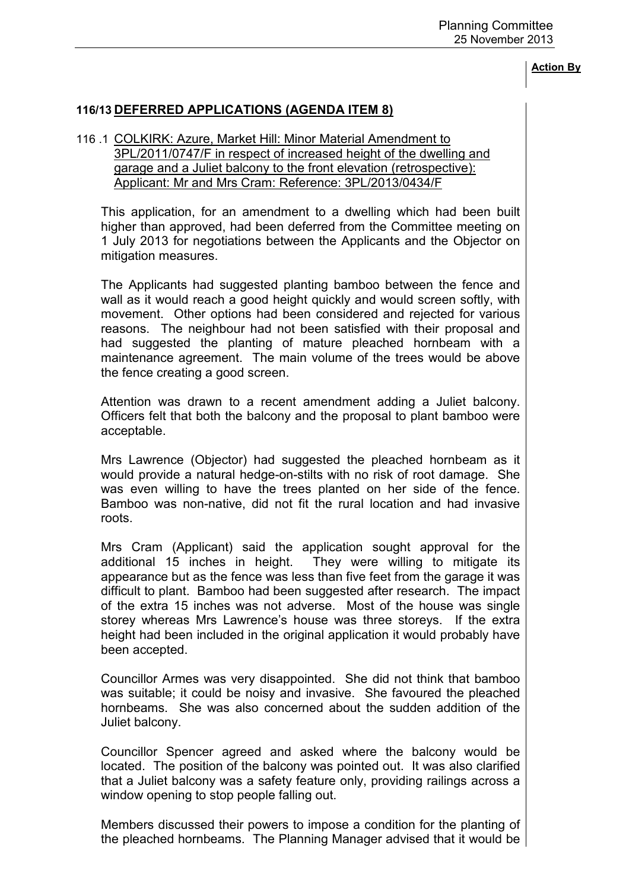# **116/13 DEFERRED APPLICATIONS (AGENDA ITEM 8)**

### 116 .1 COLKIRK: Azure, Market Hill: Minor Material Amendment to 3PL/2011/0747/F in respect of increased height of the dwelling and garage and a Juliet balcony to the front elevation (retrospective): Applicant: Mr and Mrs Cram: Reference: 3PL/2013/0434/F

 This application, for an amendment to a dwelling which had been built higher than approved, had been deferred from the Committee meeting on 1 July 2013 for negotiations between the Applicants and the Objector on mitigation measures.

The Applicants had suggested planting bamboo between the fence and wall as it would reach a good height quickly and would screen softly, with movement. Other options had been considered and rejected for various reasons. The neighbour had not been satisfied with their proposal and had suggested the planting of mature pleached hornbeam with a maintenance agreement. The main volume of the trees would be above the fence creating a good screen.

Attention was drawn to a recent amendment adding a Juliet balcony. Officers felt that both the balcony and the proposal to plant bamboo were acceptable.

Mrs Lawrence (Objector) had suggested the pleached hornbeam as it would provide a natural hedge-on-stilts with no risk of root damage. She was even willing to have the trees planted on her side of the fence. Bamboo was non-native, did not fit the rural location and had invasive roots.

Mrs Cram (Applicant) said the application sought approval for the additional 15 inches in height. They were willing to mitigate its appearance but as the fence was less than five feet from the garage it was difficult to plant. Bamboo had been suggested after research. The impact of the extra 15 inches was not adverse. Most of the house was single storey whereas Mrs Lawrence's house was three storeys. If the extra height had been included in the original application it would probably have been accepted.

Councillor Armes was very disappointed. She did not think that bamboo was suitable; it could be noisy and invasive. She favoured the pleached hornbeams. She was also concerned about the sudden addition of the Juliet balcony.

Councillor Spencer agreed and asked where the balcony would be located. The position of the balcony was pointed out. It was also clarified that a Juliet balcony was a safety feature only, providing railings across a window opening to stop people falling out.

Members discussed their powers to impose a condition for the planting of the pleached hornbeams. The Planning Manager advised that it would be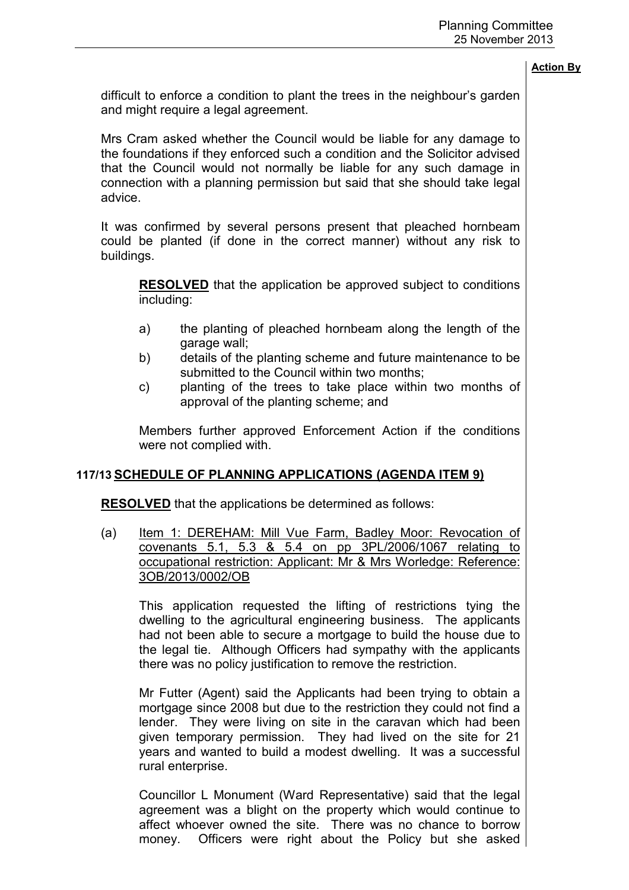difficult to enforce a condition to plant the trees in the neighbour's garden and might require a legal agreement.

Mrs Cram asked whether the Council would be liable for any damage to the foundations if they enforced such a condition and the Solicitor advised that the Council would not normally be liable for any such damage in connection with a planning permission but said that she should take legal advice.

It was confirmed by several persons present that pleached hornbeam could be planted (if done in the correct manner) without any risk to buildings.

**RESOLVED** that the application be approved subject to conditions including:

- a) the planting of pleached hornbeam along the length of the garage wall;
- b) details of the planting scheme and future maintenance to be submitted to the Council within two months;
- c) planting of the trees to take place within two months of approval of the planting scheme; and

Members further approved Enforcement Action if the conditions were not complied with.

## **117/13 SCHEDULE OF PLANNING APPLICATIONS (AGENDA ITEM 9)**

**RESOLVED** that the applications be determined as follows:

(a) Item 1: DEREHAM: Mill Vue Farm, Badley Moor: Revocation of covenants 5.1, 5.3 & 5.4 on pp 3PL/2006/1067 relating to occupational restriction: Applicant: Mr & Mrs Worledge: Reference: 3OB/2013/0002/OB

This application requested the lifting of restrictions tying the dwelling to the agricultural engineering business. The applicants had not been able to secure a mortgage to build the house due to the legal tie. Although Officers had sympathy with the applicants there was no policy justification to remove the restriction.

Mr Futter (Agent) said the Applicants had been trying to obtain a mortgage since 2008 but due to the restriction they could not find a lender. They were living on site in the caravan which had been given temporary permission. They had lived on the site for 21 years and wanted to build a modest dwelling. It was a successful rural enterprise.

Councillor L Monument (Ward Representative) said that the legal agreement was a blight on the property which would continue to affect whoever owned the site. There was no chance to borrow money. Officers were right about the Policy but she asked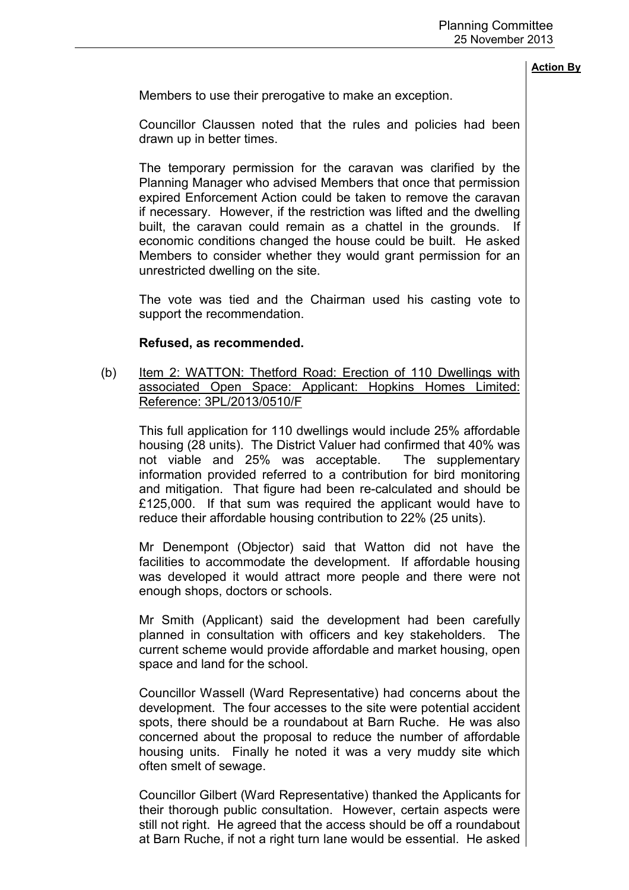Members to use their prerogative to make an exception.

Councillor Claussen noted that the rules and policies had been drawn up in better times.

The temporary permission for the caravan was clarified by the Planning Manager who advised Members that once that permission expired Enforcement Action could be taken to remove the caravan if necessary. However, if the restriction was lifted and the dwelling built, the caravan could remain as a chattel in the grounds. economic conditions changed the house could be built. He asked Members to consider whether they would grant permission for an unrestricted dwelling on the site.

The vote was tied and the Chairman used his casting vote to support the recommendation.

### **Refused, as recommended.**

(b) Item 2: WATTON: Thetford Road: Erection of 110 Dwellings with associated Open Space: Applicant: Hopkins Homes Limited: Reference: 3PL/2013/0510/F

This full application for 110 dwellings would include 25% affordable housing (28 units). The District Valuer had confirmed that 40% was not viable and 25% was acceptable. The supplementary information provided referred to a contribution for bird monitoring and mitigation. That figure had been re-calculated and should be £125,000. If that sum was required the applicant would have to reduce their affordable housing contribution to 22% (25 units).

Mr Denempont (Objector) said that Watton did not have the facilities to accommodate the development. If affordable housing was developed it would attract more people and there were not enough shops, doctors or schools.

Mr Smith (Applicant) said the development had been carefully planned in consultation with officers and key stakeholders. The current scheme would provide affordable and market housing, open space and land for the school.

Councillor Wassell (Ward Representative) had concerns about the development. The four accesses to the site were potential accident spots, there should be a roundabout at Barn Ruche. He was also concerned about the proposal to reduce the number of affordable housing units. Finally he noted it was a very muddy site which often smelt of sewage.

Councillor Gilbert (Ward Representative) thanked the Applicants for their thorough public consultation. However, certain aspects were still not right. He agreed that the access should be off a roundabout at Barn Ruche, if not a right turn lane would be essential. He asked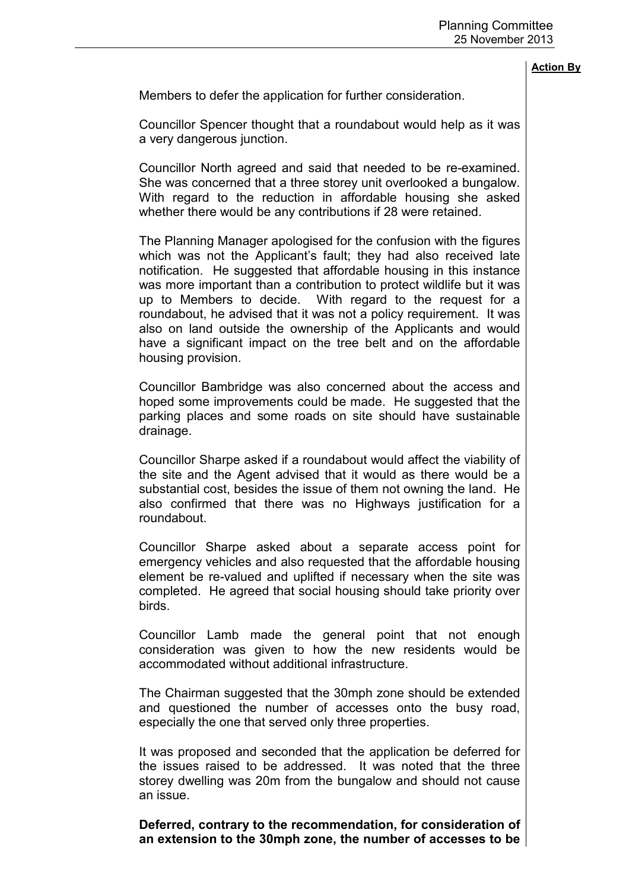Members to defer the application for further consideration.

Councillor Spencer thought that a roundabout would help as it was a very dangerous junction.

Councillor North agreed and said that needed to be re-examined. She was concerned that a three storey unit overlooked a bungalow. With regard to the reduction in affordable housing she asked whether there would be any contributions if 28 were retained.

The Planning Manager apologised for the confusion with the figures which was not the Applicant's fault; they had also received late notification. He suggested that affordable housing in this instance was more important than a contribution to protect wildlife but it was up to Members to decide. With regard to the request for a roundabout, he advised that it was not a policy requirement. It was also on land outside the ownership of the Applicants and would have a significant impact on the tree belt and on the affordable housing provision.

Councillor Bambridge was also concerned about the access and hoped some improvements could be made. He suggested that the parking places and some roads on site should have sustainable drainage.

Councillor Sharpe asked if a roundabout would affect the viability of the site and the Agent advised that it would as there would be a substantial cost, besides the issue of them not owning the land. He also confirmed that there was no Highways justification for a roundabout.

Councillor Sharpe asked about a separate access point for emergency vehicles and also requested that the affordable housing element be re-valued and uplifted if necessary when the site was completed. He agreed that social housing should take priority over birds.

Councillor Lamb made the general point that not enough consideration was given to how the new residents would be accommodated without additional infrastructure.

The Chairman suggested that the 30mph zone should be extended and questioned the number of accesses onto the busy road, especially the one that served only three properties.

It was proposed and seconded that the application be deferred for the issues raised to be addressed. It was noted that the three storey dwelling was 20m from the bungalow and should not cause an issue.

**Deferred, contrary to the recommendation, for consideration of an extension to the 30mph zone, the number of accesses to be**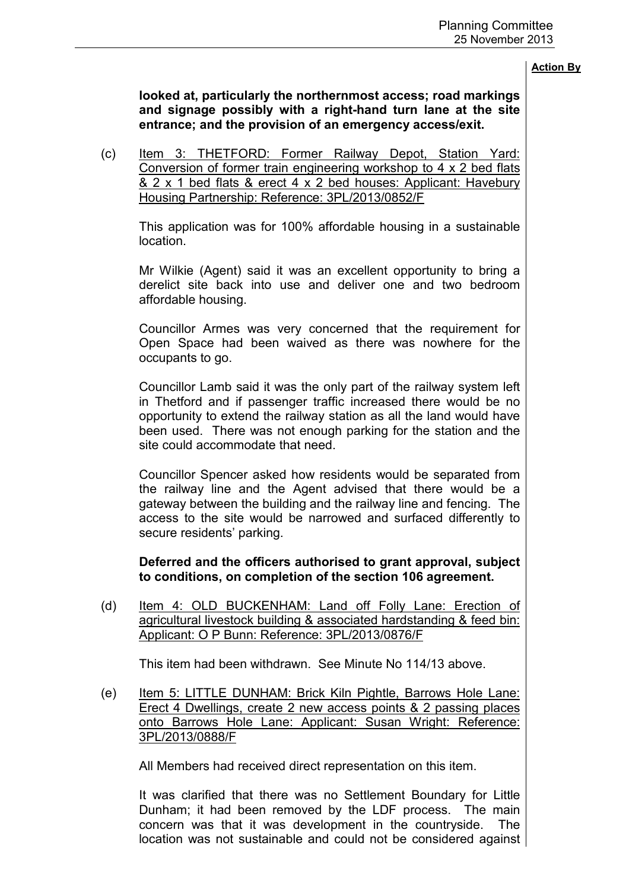**looked at, particularly the northernmost access; road markings and signage possibly with a right-hand turn lane at the site entrance; and the provision of an emergency access/exit.** 

(c) Item 3: THETFORD: Former Railway Depot, Station Yard: Conversion of former train engineering workshop to 4 x 2 bed flats & 2 x 1 bed flats & erect 4 x 2 bed houses: Applicant: Havebury Housing Partnership: Reference: 3PL/2013/0852/F

This application was for 100% affordable housing in a sustainable location.

Mr Wilkie (Agent) said it was an excellent opportunity to bring a derelict site back into use and deliver one and two bedroom affordable housing.

Councillor Armes was very concerned that the requirement for Open Space had been waived as there was nowhere for the occupants to go.

Councillor Lamb said it was the only part of the railway system left in Thetford and if passenger traffic increased there would be no opportunity to extend the railway station as all the land would have been used. There was not enough parking for the station and the site could accommodate that need.

Councillor Spencer asked how residents would be separated from the railway line and the Agent advised that there would be a gateway between the building and the railway line and fencing. The access to the site would be narrowed and surfaced differently to secure residents' parking.

**Deferred and the officers authorised to grant approval, subject to conditions, on completion of the section 106 agreement.** 

(d) Item 4: OLD BUCKENHAM: Land off Folly Lane: Erection of agricultural livestock building & associated hardstanding & feed bin: Applicant: O P Bunn: Reference: 3PL/2013/0876/F

This item had been withdrawn. See Minute No 114/13 above.

(e) Item 5: LITTLE DUNHAM: Brick Kiln Pightle, Barrows Hole Lane: Erect 4 Dwellings, create 2 new access points & 2 passing places onto Barrows Hole Lane: Applicant: Susan Wright: Reference: 3PL/2013/0888/F

All Members had received direct representation on this item.

It was clarified that there was no Settlement Boundary for Little Dunham; it had been removed by the LDF process. The main concern was that it was development in the countryside. The location was not sustainable and could not be considered against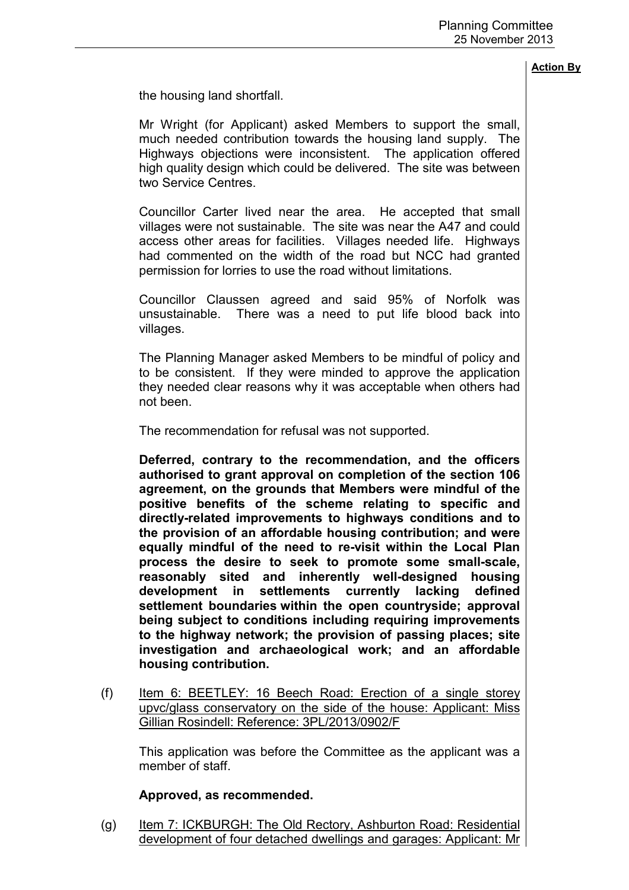the housing land shortfall.

Mr Wright (for Applicant) asked Members to support the small, much needed contribution towards the housing land supply. The Highways objections were inconsistent. The application offered high quality design which could be delivered. The site was between two Service Centres

Councillor Carter lived near the area. He accepted that small villages were not sustainable. The site was near the A47 and could access other areas for facilities. Villages needed life. Highways had commented on the width of the road but NCC had granted permission for lorries to use the road without limitations.

Councillor Claussen agreed and said 95% of Norfolk was unsustainable. There was a need to put life blood back into villages.

The Planning Manager asked Members to be mindful of policy and to be consistent. If they were minded to approve the application they needed clear reasons why it was acceptable when others had not been.

The recommendation for refusal was not supported.

**Deferred, contrary to the recommendation, and the officers authorised to grant approval on completion of the section 106 agreement, on the grounds that Members were mindful of the positive benefits of the scheme relating to specific and directly-related improvements to highways conditions and to the provision of an affordable housing contribution; and were equally mindful of the need to re-visit within the Local Plan process the desire to seek to promote some small-scale, reasonably sited and inherently well-designed housing development in settlements currently lacking defined settlement boundaries within the open countryside; approval being subject to conditions including requiring improvements to the highway network; the provision of passing places; site investigation and archaeological work; and an affordable housing contribution.** 

(f) Item 6: BEETLEY: 16 Beech Road: Erection of a single storey upvc/glass conservatory on the side of the house: Applicant: Miss Gillian Rosindell: Reference: 3PL/2013/0902/F

 This application was before the Committee as the applicant was a member of staff.

## **Approved, as recommended.**

(g) Item 7: ICKBURGH: The Old Rectory, Ashburton Road: Residential development of four detached dwellings and garages: Applicant: Mr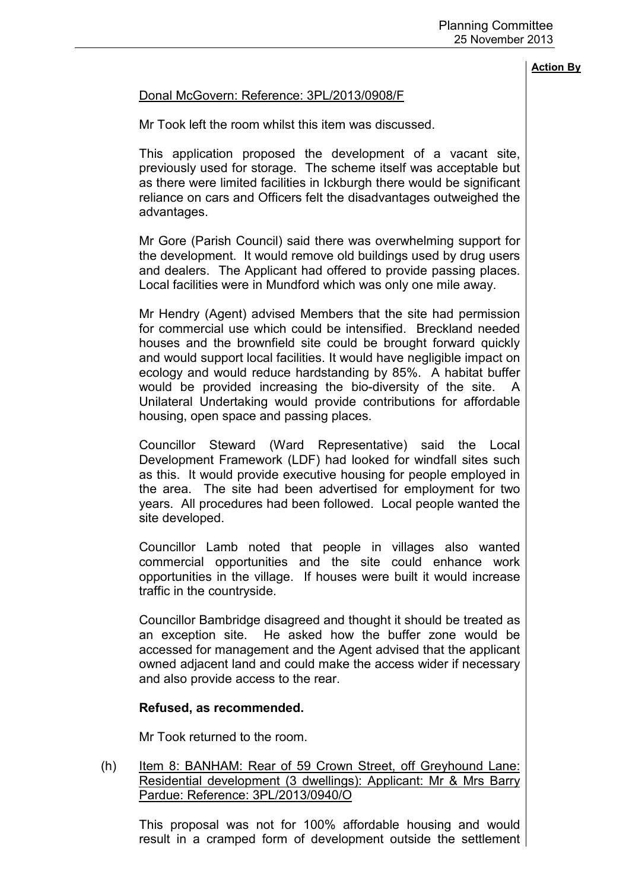### Donal McGovern: Reference: 3PL/2013/0908/F

Mr Took left the room whilst this item was discussed.

This application proposed the development of a vacant site, previously used for storage. The scheme itself was acceptable but as there were limited facilities in Ickburgh there would be significant reliance on cars and Officers felt the disadvantages outweighed the advantages.

Mr Gore (Parish Council) said there was overwhelming support for the development. It would remove old buildings used by drug users and dealers. The Applicant had offered to provide passing places. Local facilities were in Mundford which was only one mile away.

Mr Hendry (Agent) advised Members that the site had permission for commercial use which could be intensified. Breckland needed houses and the brownfield site could be brought forward quickly and would support local facilities. It would have negligible impact on ecology and would reduce hardstanding by 85%. A habitat buffer would be provided increasing the bio-diversity of the site. A Unilateral Undertaking would provide contributions for affordable housing, open space and passing places.

Councillor Steward (Ward Representative) said the Local Development Framework (LDF) had looked for windfall sites such as this. It would provide executive housing for people employed in the area. The site had been advertised for employment for two years. All procedures had been followed. Local people wanted the site developed.

Councillor Lamb noted that people in villages also wanted commercial opportunities and the site could enhance work opportunities in the village. If houses were built it would increase traffic in the countryside.

Councillor Bambridge disagreed and thought it should be treated as an exception site. He asked how the buffer zone would be accessed for management and the Agent advised that the applicant owned adjacent land and could make the access wider if necessary and also provide access to the rear.

#### **Refused, as recommended.**

Mr Took returned to the room.

(h) Item 8: BANHAM: Rear of 59 Crown Street, off Greyhound Lane: Residential development (3 dwellings): Applicant: Mr & Mrs Barry Pardue: Reference: 3PL/2013/0940/O

This proposal was not for 100% affordable housing and would result in a cramped form of development outside the settlement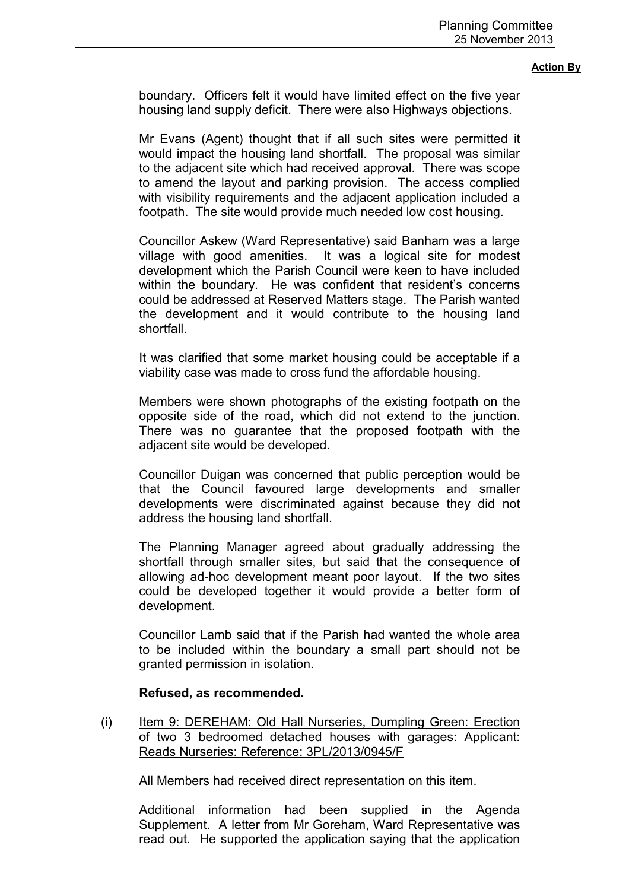boundary. Officers felt it would have limited effect on the five year housing land supply deficit. There were also Highways objections.

Mr Evans (Agent) thought that if all such sites were permitted it would impact the housing land shortfall. The proposal was similar to the adjacent site which had received approval. There was scope to amend the layout and parking provision. The access complied with visibility requirements and the adjacent application included a footpath. The site would provide much needed low cost housing.

Councillor Askew (Ward Representative) said Banham was a large village with good amenities. It was a logical site for modest development which the Parish Council were keen to have included within the boundary. He was confident that resident's concerns could be addressed at Reserved Matters stage. The Parish wanted the development and it would contribute to the housing land shortfall.

It was clarified that some market housing could be acceptable if a viability case was made to cross fund the affordable housing.

Members were shown photographs of the existing footpath on the opposite side of the road, which did not extend to the junction. There was no guarantee that the proposed footpath with the adjacent site would be developed.

Councillor Duigan was concerned that public perception would be that the Council favoured large developments and smaller developments were discriminated against because they did not address the housing land shortfall.

The Planning Manager agreed about gradually addressing the shortfall through smaller sites, but said that the consequence of allowing ad-hoc development meant poor layout. If the two sites could be developed together it would provide a better form of development.

Councillor Lamb said that if the Parish had wanted the whole area to be included within the boundary a small part should not be granted permission in isolation.

### **Refused, as recommended.**

(i) Item 9: DEREHAM: Old Hall Nurseries, Dumpling Green: Erection of two 3 bedroomed detached houses with garages: Applicant: Reads Nurseries: Reference: 3PL/2013/0945/F

All Members had received direct representation on this item.

Additional information had been supplied in the Agenda Supplement. A letter from Mr Goreham, Ward Representative was read out. He supported the application saying that the application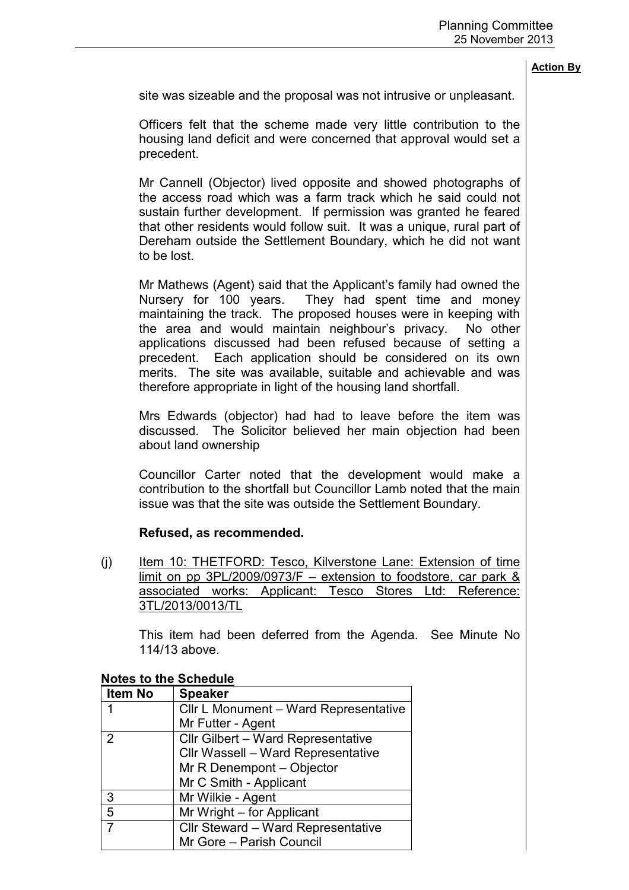site was sizeable and the proposal was not intrusive or unpleasant.

Officers felt that the scheme made very little contribution to the housing land deficit and were concerned that approval would set a precedent.

Mr Cannell (Objector) lived opposite and showed photographs of the access road which was a farm track which he said could not sustain further development. If permission was granted he feared that other residents would follow suit. It was a unique, rural part of Dereham outside the Settlement Boundary, which he did not want to be lost.

Mr Mathews (Agent) said that the Applicant's family had owned the Nursery for 100 years. They had spent time and money maintaining the track. The proposed houses were in keeping with the area and would maintain neighbour's privacy. No other applications discussed had been refused because of setting a precedent. Each application should be considered on its own merits. The site was available, suitable and achievable and was therefore appropriate in light of the housing land shortfall.

Mrs Edwards (objector) had had to leave before the item was discussed. The Solicitor believed her main objection had been about land ownership

Councillor Carter noted that the development would make a contribution to the shortfall but Councillor Lamb noted that the main issue was that the site was outside the Settlement Boundary.

## **Refused, as recommended.**

(j) Item 10: THETFORD: Tesco, Kilverstone Lane: Extension of time limit on pp 3PL/2009/0973/F – extension to foodstore, car park & associated works: Applicant: Tesco Stores Ltd: Reference: 3TL/2013/0013/TL

This item had been deferred from the Agenda. See Minute No 114/13 above.

| <b>Item No</b> | <b>Speaker</b>                            |
|----------------|-------------------------------------------|
|                | Cllr L Monument - Ward Representative     |
|                | Mr Futter - Agent                         |
| 2              | <b>Cllr Gilbert - Ward Representative</b> |
|                | Cllr Wassell - Ward Representative        |
|                | Mr R Denempont - Objector                 |
|                | Mr C Smith - Applicant                    |
| 3              | Mr Wilkie - Agent                         |
| 5              | Mr Wright - for Applicant                 |
| 7              | Cllr Steward - Ward Representative        |
|                | Mr Gore - Parish Council                  |

### **Notes to the Schedule**